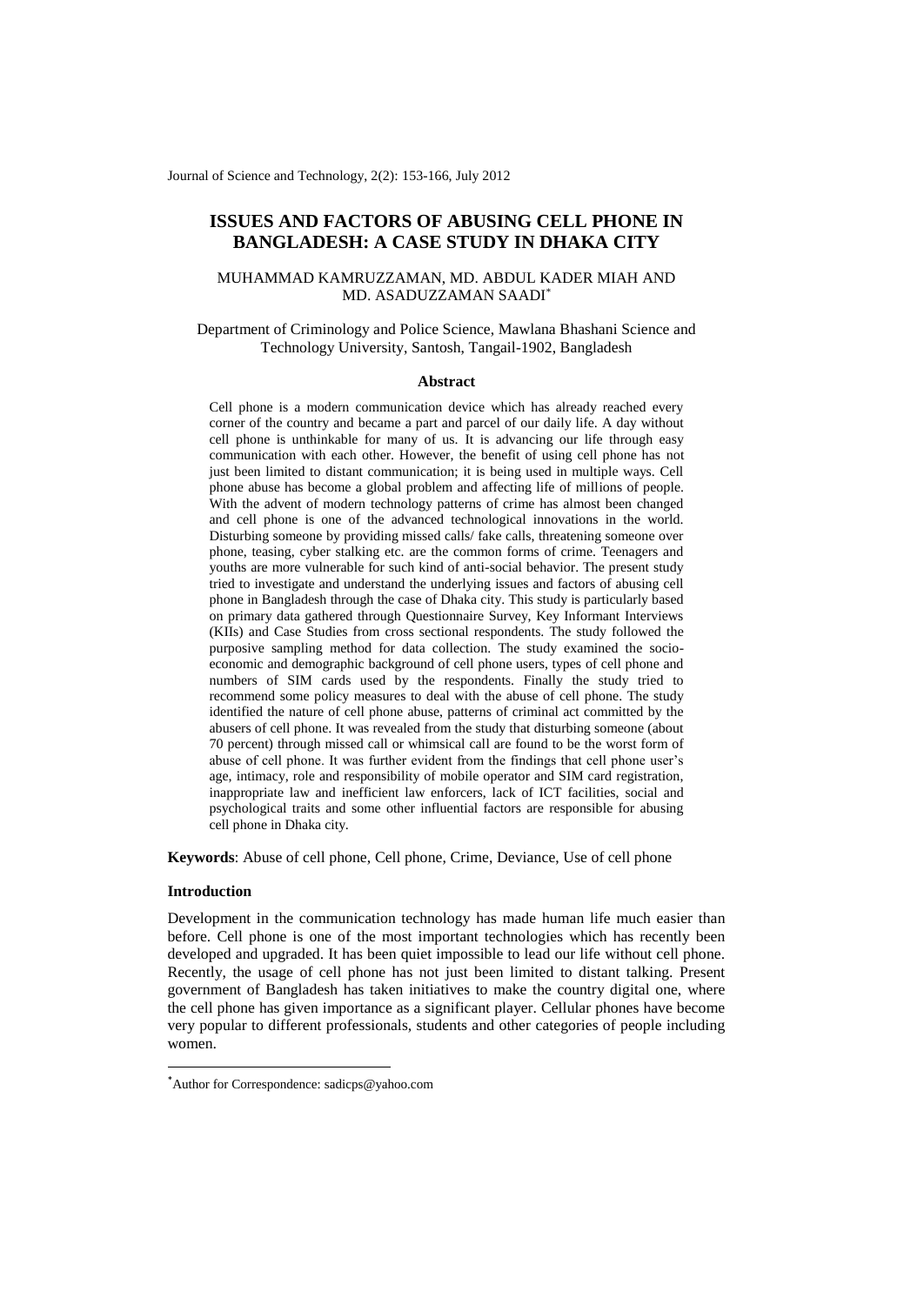Journal of Science and Technology, 2(2): 153-166, July 2012

# **ISSUES AND FACTORS OF ABUSING CELL PHONE IN BANGLADESH: A CASE STUDY IN DHAKA CITY**

## MUHAMMAD KAMRUZZAMAN, MD. ABDUL KADER MIAH AND MD. ASADUZZAMAN SAADI\*

## Department of Criminology and Police Science, Mawlana Bhashani Science and Technology University, Santosh, Tangail-1902, Bangladesh

### **Abstract**

Cell phone is a modern communication device which has already reached every corner of the country and became a part and parcel of our daily life. A day without cell phone is unthinkable for many of us. It is advancing our life through easy communication with each other. However, the benefit of using cell phone has not just been limited to distant communication; it is being used in multiple ways. Cell phone abuse has become a global problem and affecting life of millions of people. With the advent of modern technology patterns of crime has almost been changed and cell phone is one of the advanced technological innovations in the world. Disturbing someone by providing missed calls/ fake calls, threatening someone over phone, teasing, cyber stalking etc. are the common forms of crime. Teenagers and youths are more vulnerable for such kind of anti-social behavior. The present study tried to investigate and understand the underlying issues and factors of abusing cell phone in Bangladesh through the case of Dhaka city. This study is particularly based on primary data gathered through Questionnaire Survey, Key Informant Interviews (KIIs) and Case Studies from cross sectional respondents. The study followed the purposive sampling method for data collection. The study examined the socioeconomic and demographic background of cell phone users, types of cell phone and numbers of SIM cards used by the respondents. Finally the study tried to recommend some policy measures to deal with the abuse of cell phone. The study identified the nature of cell phone abuse, patterns of criminal act committed by the abusers of cell phone. It was revealed from the study that disturbing someone (about 70 percent) through missed call or whimsical call are found to be the worst form of abuse of cell phone. It was further evident from the findings that cell phone user's age, intimacy, role and responsibility of mobile operator and SIM card registration, inappropriate law and inefficient law enforcers, lack of ICT facilities, social and psychological traits and some other influential factors are responsible for abusing cell phone in Dhaka city.

**Keywords**: Abuse of cell phone, Cell phone, Crime, Deviance, Use of cell phone

### **Introduction**

1

Development in the communication technology has made human life much easier than before. Cell phone is one of the most important technologies which has recently been developed and upgraded. It has been quiet impossible to lead our life without cell phone. Recently, the usage of cell phone has not just been limited to distant talking. Present government of Bangladesh has taken initiatives to make the country digital one, where the cell phone has given importance as a significant player. Cellular phones have become very popular to different professionals, students and other categories of people including women.

<sup>\*</sup>Author for Correspondence: [sadicps@yahoo.com](mailto:sadicps@yahoo.com)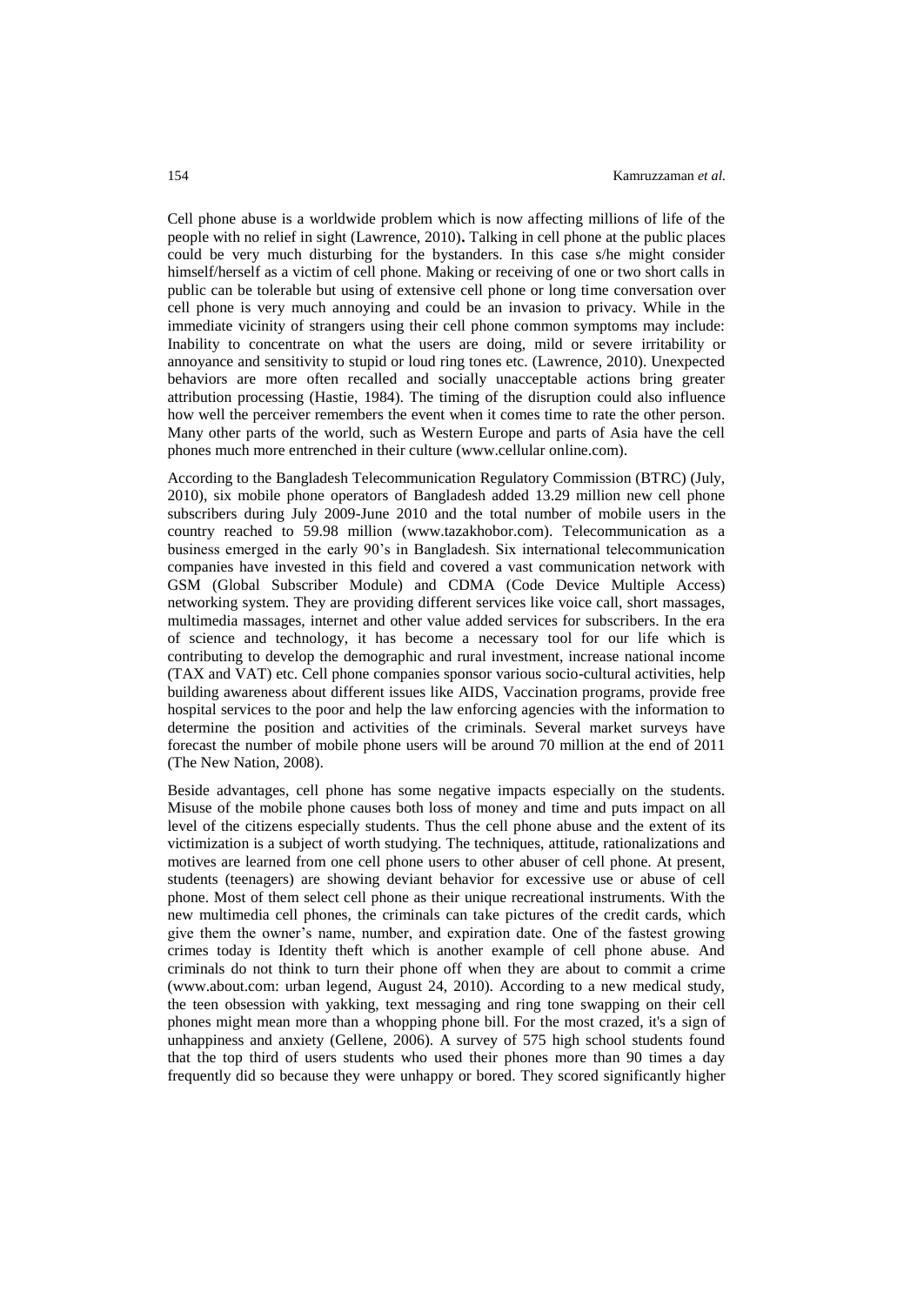Cell phone abuse is a worldwide problem which is now affecting millions of life of the people with no relief in sight (Lawrence, 2010)**.** Talking in cell phone at the public places could be very much disturbing for the bystanders. In this case s/he might consider himself/herself as a victim of cell phone. Making or receiving of one or two short calls in public can be tolerable but using of extensive cell phone or long time conversation over cell phone is very much annoying and could be an invasion to privacy. While in the immediate vicinity of strangers using their cell phone common symptoms may include: Inability to concentrate on what the users are doing, mild or severe irritability or annoyance and sensitivity to stupid or loud ring tones etc. (Lawrence, 2010). Unexpected behaviors are more often recalled and socially unacceptable actions bring greater attribution processing (Hastie, 1984). The timing of the disruption could also influence how well the perceiver remembers the event when it comes time to rate the other person. Many other parts of the world, such as Western Europe and parts of Asia have the cell phones much more entrenched in their culture (www.cellular online.com).

According to the Bangladesh Telecommunication Regulatory Commission (BTRC) (July, 2010), six mobile phone operators of Bangladesh added 13.29 million new cell phone subscribers during July 2009-June 2010 and the total number of mobile users in the country reached to 59.98 million (www.tazakhobor.com). Telecommunication as a business emerged in the early 90's in Bangladesh. Six international telecommunication companies have invested in this field and covered a vast communication network with GSM (Global Subscriber Module) and CDMA (Code Device Multiple Access) networking system. They are providing different services like voice call, short massages, multimedia massages, internet and other value added services for subscribers. In the era of science and technology, it has become a necessary tool for our life which is contributing to develop the demographic and rural investment, increase national income (TAX and VAT) etc. Cell phone companies sponsor various socio-cultural activities, help building awareness about different issues like AIDS, Vaccination programs, provide free hospital services to the poor and help the law enforcing agencies with the information to determine the position and activities of the criminals. Several market surveys have forecast the number of mobile phone users will be around 70 million at the end of 2011 (The New Nation, 2008).

Beside advantages, cell phone has some negative impacts especially on the students. Misuse of the mobile phone causes both loss of money and time and puts impact on all level of the citizens especially students. Thus the cell phone abuse and the extent of its victimization is a subject of worth studying. The techniques, attitude, rationalizations and motives are learned from one cell phone users to other abuser of cell phone. At present, students (teenagers) are showing deviant behavior for excessive use or abuse of cell phone. Most of them select cell phone as their unique recreational instruments. With the new multimedia cell phones, the criminals can take pictures of the credit cards, which give them the owner's name, number, and expiration date. One of the fastest growing crimes today is Identity theft which is another example of cell phone abuse. And criminals do not think to turn their phone off when they are about to commit a crime (www.about.com: urban legend, August 24, 2010). According to a new medical study, the teen obsession with yakking, text messaging and ring tone swapping on their cell phones might mean more than a whopping phone bill. For the most crazed, it's a sign of unhappiness and anxiety (Gellene, 2006). A survey of 575 high school students found that the top third of users students who used their phones more than 90 times a day frequently did so because they were unhappy or bored. They scored significantly higher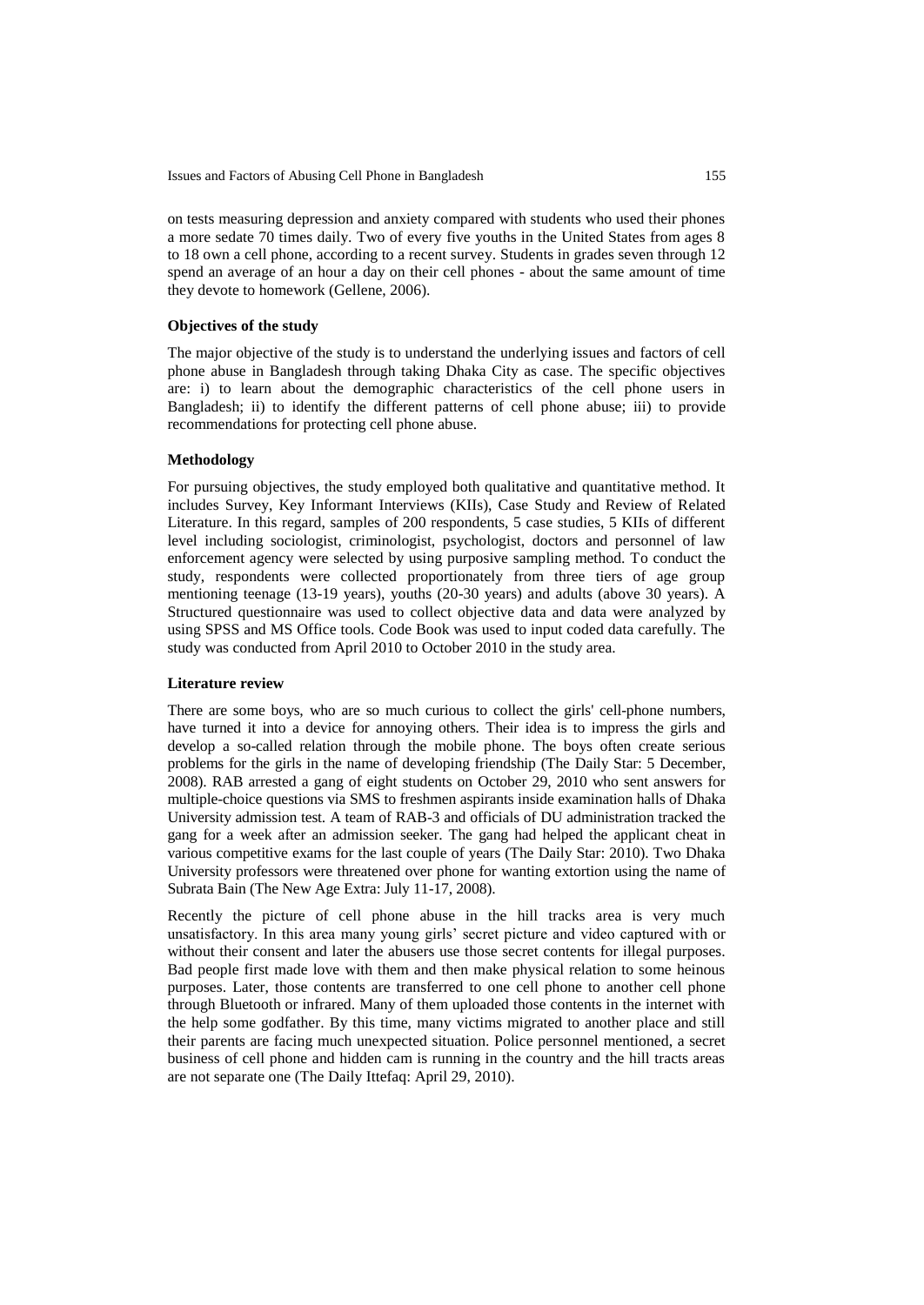on tests measuring depression and anxiety compared with students who used their phones a more sedate 70 times daily. Two of every five youths in the United States from ages 8 to 18 own a cell phone, according to a recent survey. Students in grades seven through 12 spend an average of an hour a day on their cell phones - about the same amount of time they devote to homework (Gellene, 2006).

## **Objectives of the study**

The major objective of the study is to understand the underlying issues and factors of cell phone abuse in Bangladesh through taking Dhaka City as case. The specific objectives are: i) to learn about the demographic characteristics of the cell phone users in Bangladesh; ii) to identify the different patterns of cell phone abuse; iii) to provide recommendations for protecting cell phone abuse.

### **Methodology**

For pursuing objectives, the study employed both qualitative and quantitative method. It includes Survey, Key Informant Interviews (KIIs), Case Study and Review of Related Literature. In this regard, samples of 200 respondents, 5 case studies, 5 KIIs of different level including sociologist, criminologist, psychologist, doctors and personnel of law enforcement agency were selected by using purposive sampling method. To conduct the study, respondents were collected proportionately from three tiers of age group mentioning teenage (13-19 years), youths (20-30 years) and adults (above 30 years). A Structured questionnaire was used to collect objective data and data were analyzed by using SPSS and MS Office tools. Code Book was used to input coded data carefully. The study was conducted from April 2010 to October 2010 in the study area.

### **Literature review**

There are some boys, who are so much curious to collect the girls' cell-phone numbers, have turned it into a device for annoying others. Their idea is to impress the girls and develop a so-called relation through the mobile phone. The boys often create serious problems for the girls in the name of developing friendship (The Daily Star: 5 December, 2008). RAB arrested a gang of eight students on October 29, 2010 who sent answers for multiple-choice questions via SMS to freshmen aspirants inside examination halls of Dhaka University admission test. A team of RAB-3 and officials of DU administration tracked the gang for a week after an admission seeker. The gang had helped the applicant cheat in various competitive exams for the last couple of years (The Daily Star: 2010). Two Dhaka University professors were threatened over phone for wanting extortion using the name of Subrata Bain (The New Age Extra: July 11-17, 2008).

Recently the picture of cell phone abuse in the hill tracks area is very much unsatisfactory. In this area many young girls' secret picture and video captured with or without their consent and later the abusers use those secret contents for illegal purposes. Bad people first made love with them and then make physical relation to some heinous purposes. Later, those contents are transferred to one cell phone to another cell phone through Bluetooth or infrared. Many of them uploaded those contents in the internet with the help some godfather. By this time, many victims migrated to another place and still their parents are facing much unexpected situation. Police personnel mentioned, a secret business of cell phone and hidden cam is running in the country and the hill tracts areas are not separate one (The Daily Ittefaq: April 29, 2010).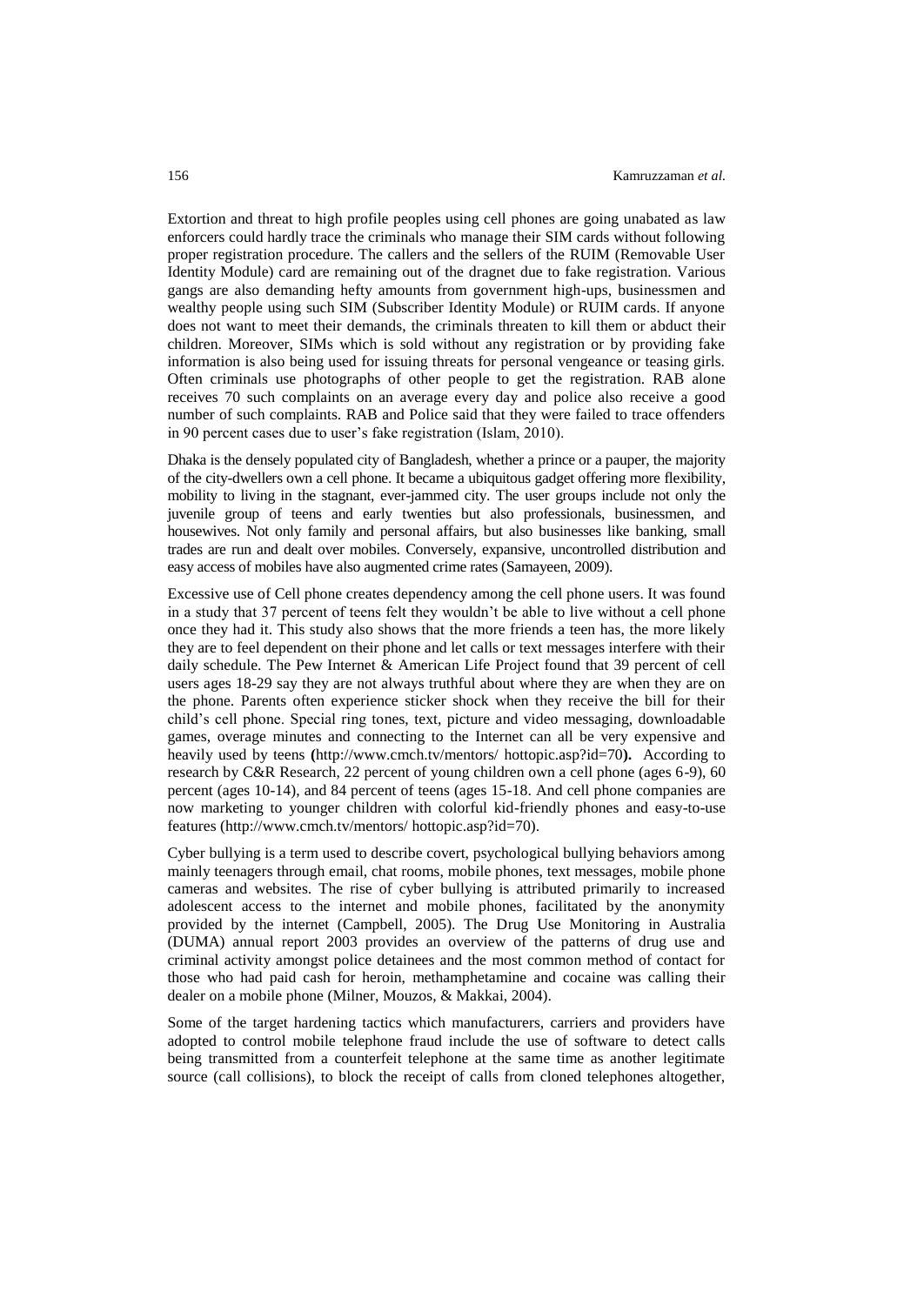Extortion and threat to high profile peoples using cell phones are going unabated as law enforcers could hardly trace the criminals who manage their SIM cards without following proper registration procedure. The callers and the sellers of the RUIM (Removable User Identity Module) card are remaining out of the dragnet due to fake registration. Various gangs are also demanding hefty amounts from government high-ups, businessmen and wealthy people using such SIM (Subscriber Identity Module) or RUIM cards. If anyone does not want to meet their demands, the criminals threaten to kill them or abduct their children. Moreover, SIMs which is sold without any registration or by providing fake information is also being used for issuing threats for personal vengeance or teasing girls. Often criminals use photographs of other people to get the registration. RAB alone receives 70 such complaints on an average every day and police also receive a good number of such complaints. RAB and Police said that they were failed to trace offenders in 90 percent cases due to user's fake registration (Islam, 2010).

Dhaka is the densely populated city of Bangladesh, whether a prince or a pauper, the majority of the city-dwellers own a cell phone. It became a ubiquitous gadget offering more flexibility, mobility to living in the stagnant, ever-jammed city. The user groups include not only the juvenile group of teens and early twenties but also professionals, businessmen, and housewives. Not only family and personal affairs, but also businesses like banking, small trades are run and dealt over mobiles. Conversely, expansive, uncontrolled distribution and easy access of mobiles have also augmented crime rates (Samayeen, 2009).

Excessive use of Cell phone creates dependency among the cell phone users. It was found in a study that 37 percent of teens felt they wouldn't be able to live without a cell phone once they had it. This study also shows that the more friends a teen has, the more likely they are to feel dependent on their phone and let calls or text messages interfere with their daily schedule. The Pew Internet & American Life Project found that 39 percent of cell users ages 18-29 say they are not always truthful about where they are when they are on the phone. Parents often experience sticker shock when they receive the bill for their child's cell phone. Special ring tones, text, picture and video messaging, downloadable games, overage minutes and connecting to the Internet can all be very expensive and heavily used by teens **(**<http://www.cmch.tv/mentors/> hottopic.asp?id=70**).** According to research by C&R Research, 22 percent of young children own a cell phone (ages 6-9), 60 percent (ages 10-14), and 84 percent of teens (ages 15-18. And cell phone companies are now marketing to younger children with colorful kid-friendly phones and easy-to-use features [\(http://www.cmch.tv/mentors/](http://www.cmch.tv/mentors/) hottopic.asp?id=70).

Cyber bullying is a term used to describe covert, psychological bullying behaviors among mainly teenagers through email, chat rooms, mobile phones, text messages, mobile phone cameras and websites. The rise of cyber bullying is attributed primarily to increased adolescent access to the internet and mobile phones, facilitated by the anonymity provided by the internet (Campbell, 2005). The Drug Use Monitoring in Australia (DUMA) annual report 2003 provides an overview of the patterns of drug use and criminal activity amongst police detainees and the most common method of contact for those who had paid cash for heroin, methamphetamine and cocaine was calling their dealer on a mobile phone (Milner, Mouzos, & Makkai, 2004).

Some of the target hardening tactics which manufacturers, carriers and providers have adopted to control mobile telephone fraud include the use of software to detect calls being transmitted from a counterfeit telephone at the same time as another legitimate source (call collisions), to block the receipt of calls from cloned telephones altogether,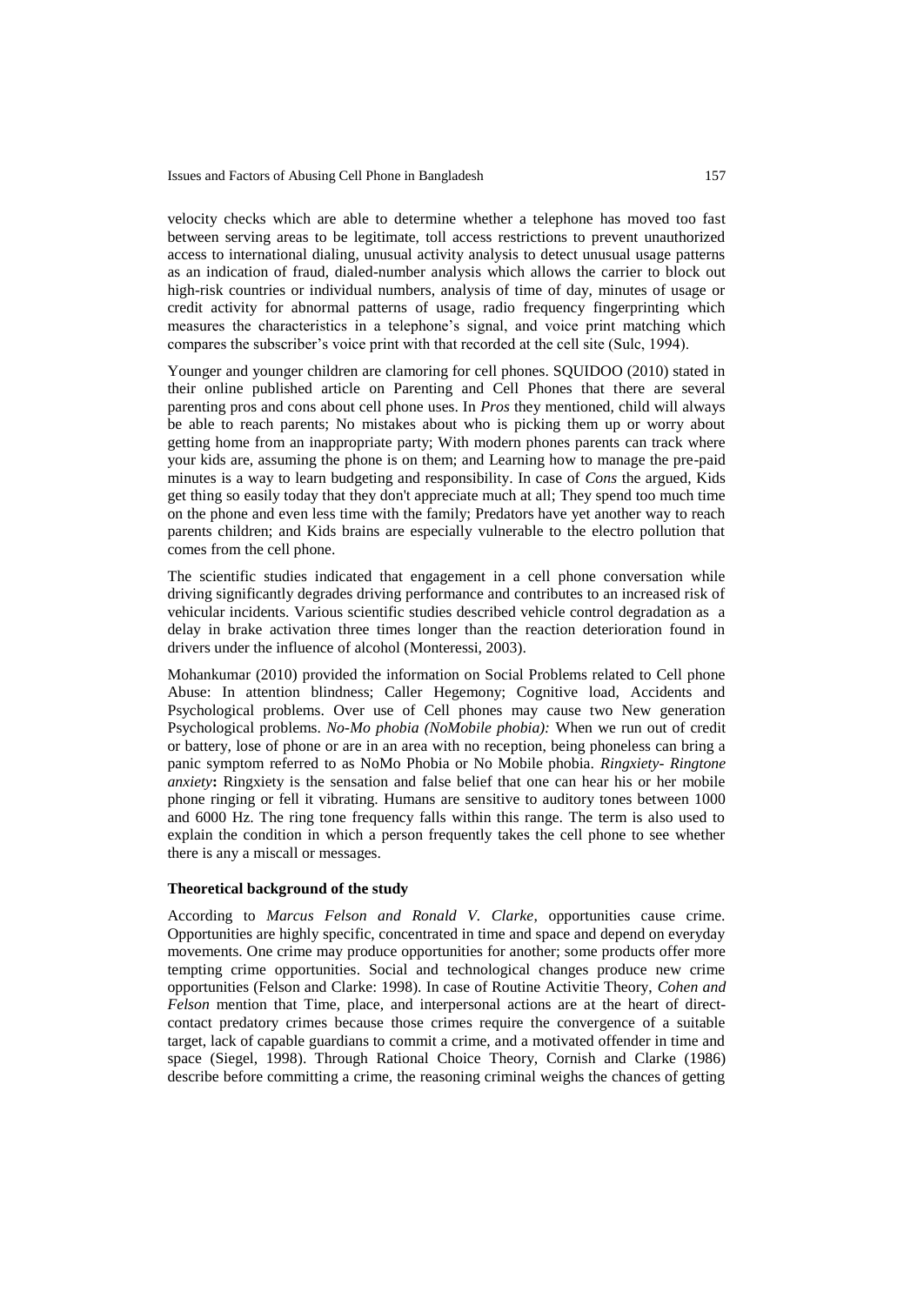velocity checks which are able to determine whether a telephone has moved too fast between serving areas to be legitimate, toll access restrictions to prevent unauthorized access to international dialing, unusual activity analysis to detect unusual usage patterns as an indication of fraud, dialed-number analysis which allows the carrier to block out high-risk countries or individual numbers, analysis of time of day, minutes of usage or credit activity for abnormal patterns of usage, radio frequency fingerprinting which measures the characteristics in a telephone's signal, and voice print matching which compares the subscriber's voice print with that recorded at the cell site (Sulc, 1994).

Younger and younger children are clamoring for cell phones. SQUIDOO (2010) stated in their online published article on Parenting and Cell Phones that there are several parenting pros and cons about cell phone uses. In *Pros* they mentioned, child will always be able to reach parents; No mistakes about who is picking them up or worry about getting home from an inappropriate party; With modern phones parents can track where your kids are, assuming the phone is on them; and Learning how to manage the pre-paid minutes is a way to learn budgeting and responsibility. In case of *Cons* the argued, Kids get thing so easily today that they don't appreciate much at all; They spend too much time on the phone and even less time with the family; Predators have yet another way to reach parents children; and Kids brains are especially vulnerable to the electro pollution that comes from the cell phone.

The scientific studies indicated that engagement in a cell phone conversation while driving significantly degrades driving performance and contributes to an increased risk of vehicular incidents. Various scientific studies described vehicle control degradation as a delay in brake activation three times longer than the reaction deterioration found in drivers under the influence of alcohol (Monteressi, 2003).

Mohankumar (2010) provided the information on Social Problems related to Cell phone Abuse: In attention blindness; Caller Hegemony; Cognitive load, Accidents and Psychological problems. Over use of Cell phones may cause two New generation Psychological problems. *No-Mo phobia (NoMobile phobia):* When we run out of credit or battery, lose of phone or are in an area with no reception, being phoneless can bring a panic symptom referred to as NoMo Phobia or No Mobile phobia. *Ringxiety- Ringtone anxiety*: Ringxiety is the sensation and false belief that one can hear his or her mobile phone ringing or fell it vibrating. Humans are sensitive to auditory tones between 1000 and 6000 Hz. The ring tone frequency falls within this range. The term is also used to explain the condition in which a person frequently takes the cell phone to see whether there is any a miscall or messages.

## **Theoretical background of the study**

According to *Marcus Felson and Ronald V. Clarke*, opportunities cause crime. Opportunities are highly specific, concentrated in time and space and depend on everyday movements. One crime may produce opportunities for another; some products offer more tempting crime opportunities. Social and technological changes produce new crime opportunities (Felson and Clarke: 1998). In case of Routine Activitie Theory, *Cohen and Felson* mention that Time, place, and interpersonal actions are at the heart of directcontact predatory crimes because those crimes require the convergence of a suitable target, lack of capable guardians to commit a crime, and a motivated offender in time and space (Siegel, 1998). Through Rational Choice Theory, Cornish and Clarke (1986) describe before committing a crime, the reasoning criminal weighs the chances of getting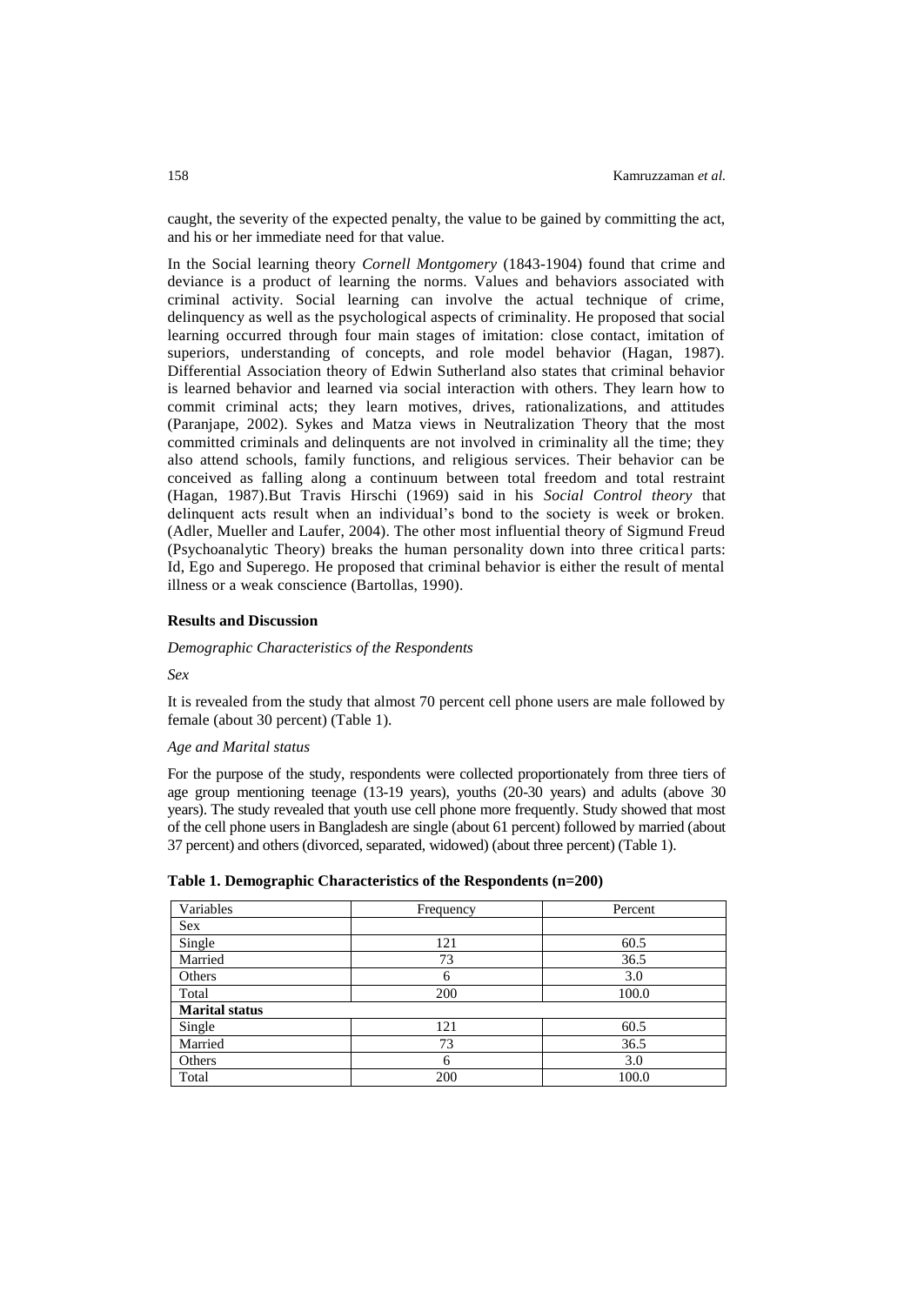caught, the severity of the expected penalty, the value to be gained by committing the act, and his or her immediate need for that value.

In the Social learning theory *Cornell Montgomery* (1843-1904) found that crime and deviance is a product of learning the norms. Values and behaviors associated with criminal activity. Social learning can involve the actual technique of crime, delinquency as well as the psychological aspects of criminality. He proposed that social learning occurred through four main stages of imitation: close contact, imitation of superiors, understanding of concepts, and role model behavior (Hagan, 1987). Differential Association theory of Edwin Sutherland also states that criminal behavior is learned behavior and learned via social interaction with others. They learn how to commit criminal acts; they learn motives, drives, rationalizations, and attitudes (Paranjape, 2002). Sykes and Matza views in Neutralization Theory that the most committed criminals and delinquents are not involved in criminality all the time; they also attend schools, family functions, and religious services. Their behavior can be conceived as falling along a continuum between total freedom and total restraint (Hagan, 1987).But Travis Hirschi (1969) said in his *Social Control theory* that delinquent acts result when an individual's bond to the society is week or broken. (Adler, Mueller and Laufer, 2004). The other most influential theory of Sigmund Freud (Psychoanalytic Theory) breaks the human personality down into three critical parts: Id, Ego and Superego. He proposed that criminal behavior is either the result of mental illness or a weak conscience (Bartollas, 1990).

### **Results and Discussion**

### *Demographic Characteristics of the Respondents*

### *Sex*

It is revealed from the study that almost 70 percent cell phone users are male followed by female (about 30 percent) (Table 1).

### *Age and Marital status*

For the purpose of the study, respondents were collected proportionately from three tiers of age group mentioning teenage (13-19 years), youths (20-30 years) and adults (above 30 years). The study revealed that youth use cell phone more frequently. Study showed that most of the cell phone users in Bangladesh are single (about 61 percent) followed by married (about 37 percent) and others (divorced, separated, widowed) (about three percent) (Table 1).

| Variables             | Frequency | Percent |
|-----------------------|-----------|---------|
| Sex                   |           |         |
| Single                | 121       | 60.5    |
| Married               | 73        | 36.5    |
| Others                | 6         | 3.0     |
| Total                 | 200       | 100.0   |
| <b>Marital status</b> |           |         |
| Single                | 121       | 60.5    |
| Married               | 73        | 36.5    |
| Others                | 6         | 3.0     |
| Total                 | 200       | 100.0   |

|  | Table 1. Demographic Characteristics of the Respondents (n=200) |  |  |
|--|-----------------------------------------------------------------|--|--|
|  |                                                                 |  |  |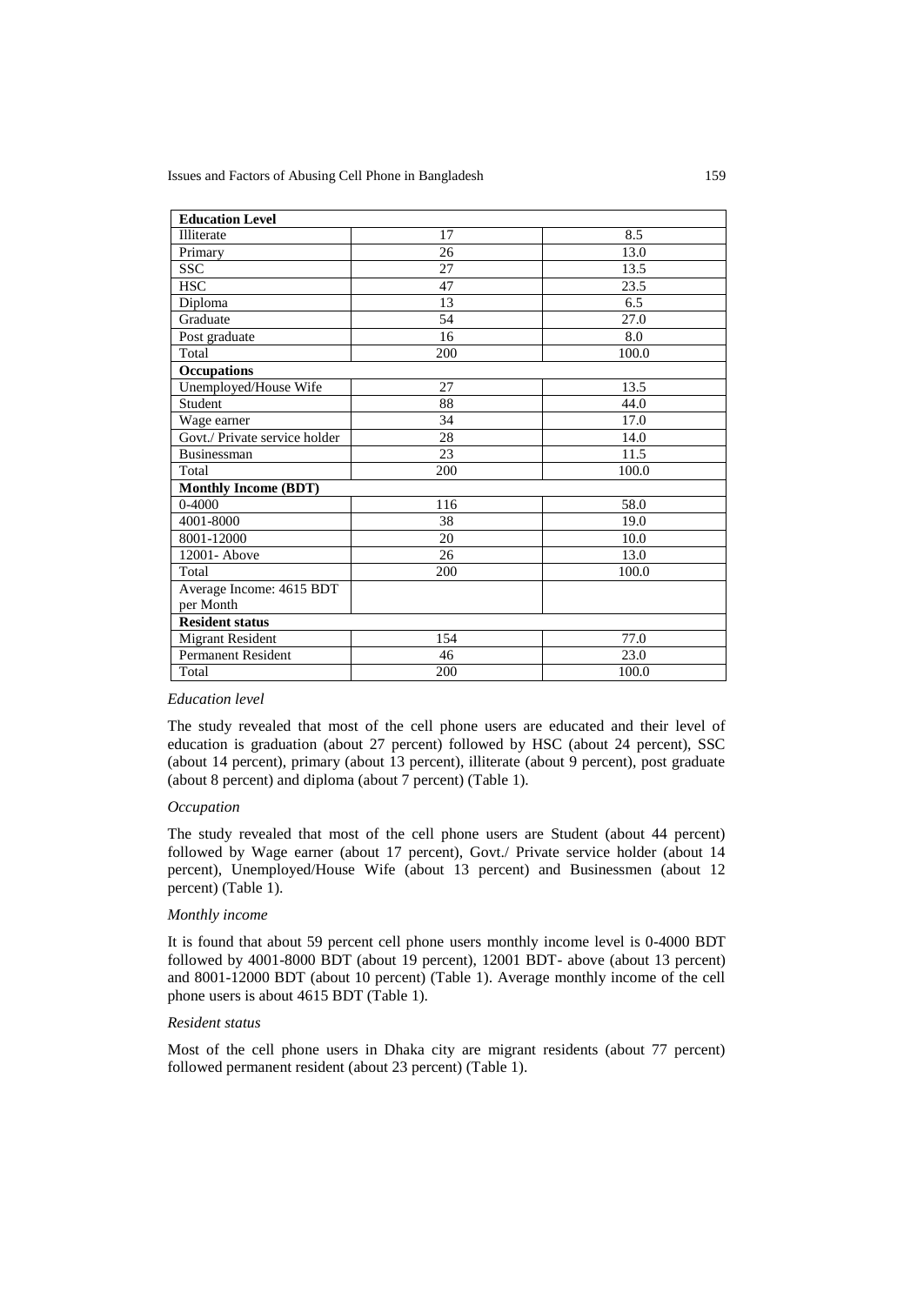| <b>Education Level</b>        |     |       |  |  |
|-------------------------------|-----|-------|--|--|
| Illiterate                    | 17  | 8.5   |  |  |
| Primary                       | 26  | 13.0  |  |  |
| <b>SSC</b>                    | 27  | 13.5  |  |  |
| <b>HSC</b>                    | 47  | 23.5  |  |  |
| Diploma                       | 13  | 6.5   |  |  |
| Graduate                      | 54  | 27.0  |  |  |
| Post graduate                 | 16  | 8.0   |  |  |
| Total                         | 200 | 100.0 |  |  |
| <b>Occupations</b>            |     |       |  |  |
| Unemployed/House Wife         | 27  | 13.5  |  |  |
| Student                       | 88  | 44.0  |  |  |
| Wage earner                   | 34  | 17.0  |  |  |
| Govt./ Private service holder | 28  | 14.0  |  |  |
| Businessman                   | 23  | 11.5  |  |  |
| Total                         | 200 | 100.0 |  |  |
| <b>Monthly Income (BDT)</b>   |     |       |  |  |
| $0 - 4000$                    | 116 | 58.0  |  |  |
| 4001-8000                     | 38  | 19.0  |  |  |
| 8001-12000                    | 20  | 10.0  |  |  |
| 12001-Above                   | 26  | 13.0  |  |  |
| Total                         | 200 | 100.0 |  |  |
| Average Income: 4615 BDT      |     |       |  |  |
| per Month                     |     |       |  |  |
| <b>Resident status</b>        |     |       |  |  |
| <b>Migrant Resident</b>       | 154 | 77.0  |  |  |
| <b>Permanent Resident</b>     | 46  | 23.0  |  |  |
| Total                         | 200 | 100.0 |  |  |

### *Education level*

The study revealed that most of the cell phone users are educated and their level of education is graduation (about 27 percent) followed by HSC (about 24 percent), SSC (about 14 percent), primary (about 13 percent), illiterate (about 9 percent), post graduate (about 8 percent) and diploma (about 7 percent) (Table 1).

### *Occupation*

The study revealed that most of the cell phone users are Student (about 44 percent) followed by Wage earner (about 17 percent), Govt./ Private service holder (about 14 percent), Unemployed/House Wife (about 13 percent) and Businessmen (about 12 percent) (Table 1).

### *Monthly income*

It is found that about 59 percent cell phone users monthly income level is 0-4000 BDT followed by 4001-8000 BDT (about 19 percent), 12001 BDT- above (about 13 percent) and 8001-12000 BDT (about 10 percent) (Table 1). Average monthly income of the cell phone users is about 4615 BDT (Table 1).

### *Resident status*

Most of the cell phone users in Dhaka city are migrant residents (about 77 percent) followed permanent resident (about 23 percent) (Table 1).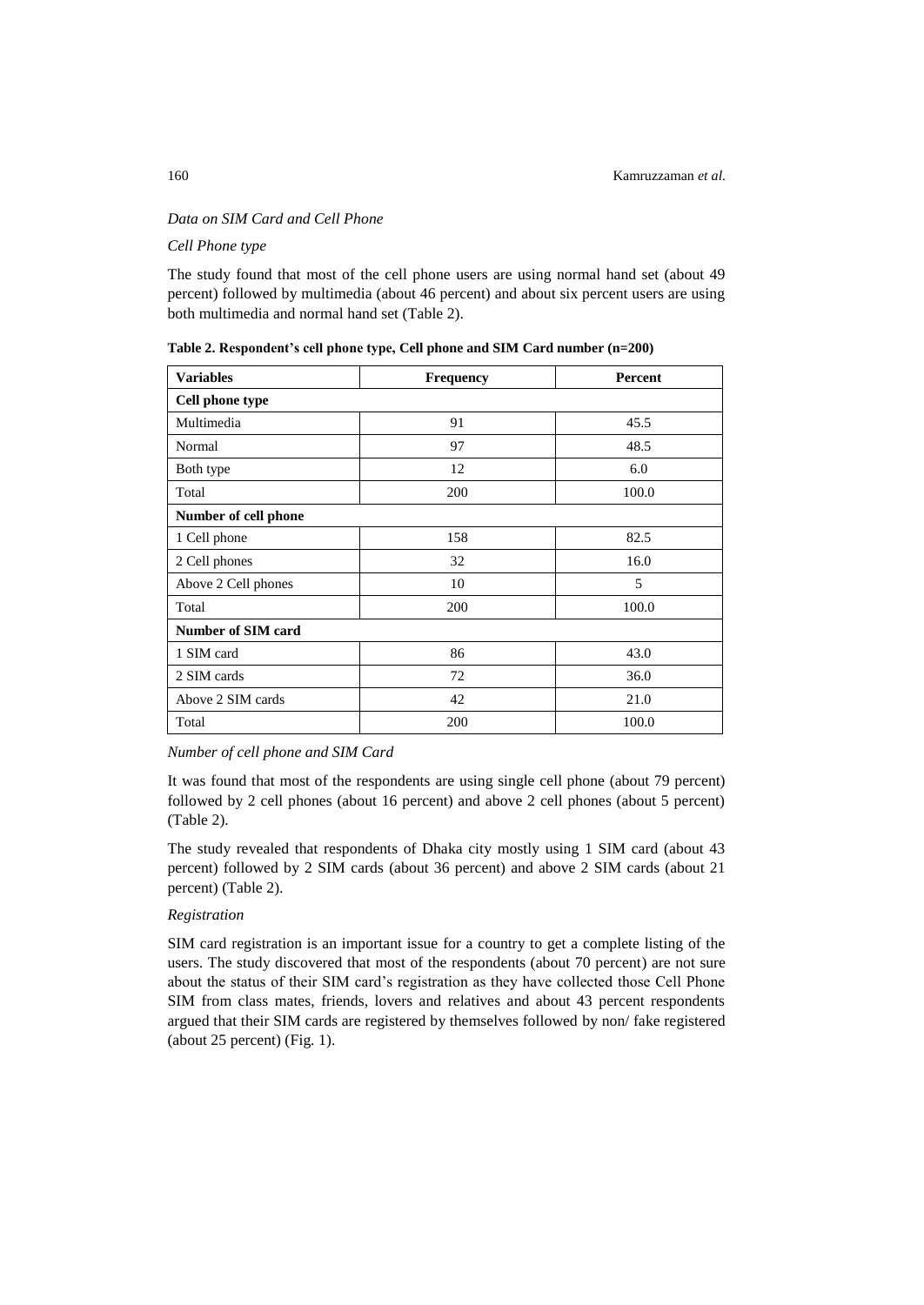## *Data on SIM Card and Cell Phone*

*Cell Phone type*

The study found that most of the cell phone users are using normal hand set (about 49 percent) followed by multimedia (about 46 percent) and about six percent users are using both multimedia and normal hand set (Table 2).

| <b>Variables</b>     | <b>Frequency</b> | Percent |  |  |  |
|----------------------|------------------|---------|--|--|--|
| Cell phone type      |                  |         |  |  |  |
| Multimedia           | 91               | 45.5    |  |  |  |
| Normal               | 97               | 48.5    |  |  |  |
| Both type            | 12               | 6.0     |  |  |  |
| Total                | 200              | 100.0   |  |  |  |
| Number of cell phone |                  |         |  |  |  |
| 1 Cell phone         | 158              | 82.5    |  |  |  |
| 2 Cell phones        | 32               | 16.0    |  |  |  |
| Above 2 Cell phones  | 10               | 5       |  |  |  |
| Total                | 200              | 100.0   |  |  |  |
| Number of SIM card   |                  |         |  |  |  |
| 1 SIM card           | 86               | 43.0    |  |  |  |
| 2 SIM cards          | 72               | 36.0    |  |  |  |
| Above 2 SIM cards    | 42               | 21.0    |  |  |  |
| Total                | 200              | 100.0   |  |  |  |

**Table 2. Respondent's cell phone type, Cell phone and SIM Card number (n=200)**

### *Number of cell phone and SIM Card*

It was found that most of the respondents are using single cell phone (about 79 percent) followed by 2 cell phones (about 16 percent) and above 2 cell phones (about 5 percent) (Table 2).

The study revealed that respondents of Dhaka city mostly using 1 SIM card (about 43 percent) followed by 2 SIM cards (about 36 percent) and above 2 SIM cards (about 21 percent) (Table 2).

## *Registration*

SIM card registration is an important issue for a country to get a complete listing of the users. The study discovered that most of the respondents (about 70 percent) are not sure about the status of their SIM card's registration as they have collected those Cell Phone SIM from class mates, friends, lovers and relatives and about 43 percent respondents argued that their SIM cards are registered by themselves followed by non/ fake registered (about 25 percent) (Fig. 1).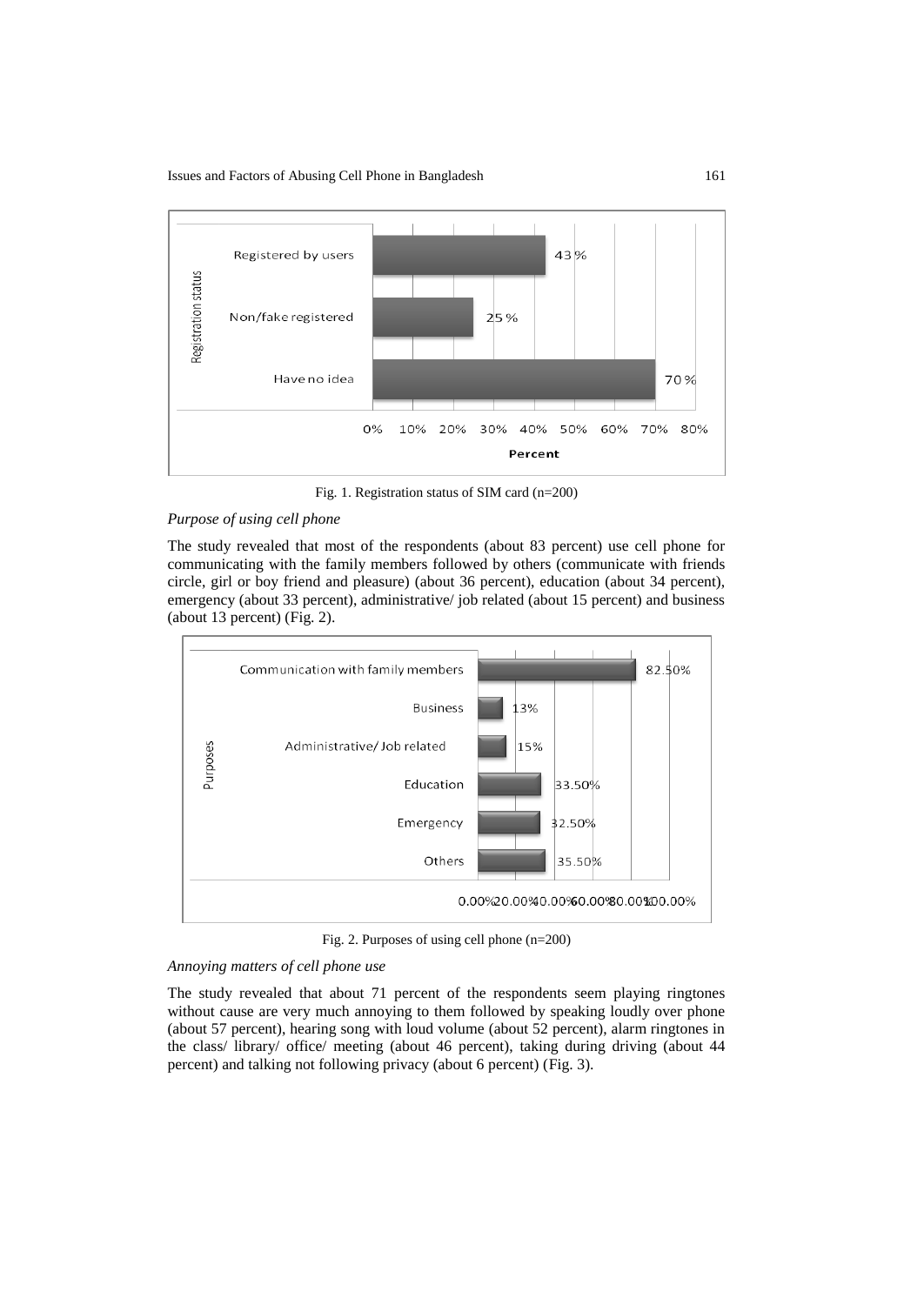

Fig. 1. Registration status of SIM card (n=200)

## *Purpose of using cell phone*

The study revealed that most of the respondents (about 83 percent) use cell phone for communicating with the family members followed by others (communicate with friends circle, girl or boy friend and pleasure) (about 36 percent), education (about 34 percent), emergency (about 33 percent), administrative/ job related (about 15 percent) and business (about 13 percent) (Fig. 2).



Fig. 2. Purposes of using cell phone (n=200)

## *Annoying matters of cell phone use*

The study revealed that about 71 percent of the respondents seem playing ringtones without cause are very much annoying to them followed by speaking loudly over phone (about 57 percent), hearing song with loud volume (about 52 percent), alarm ringtones in the class/ library/ office/ meeting (about 46 percent), taking during driving (about 44 percent) and talking not following privacy (about 6 percent) (Fig. 3).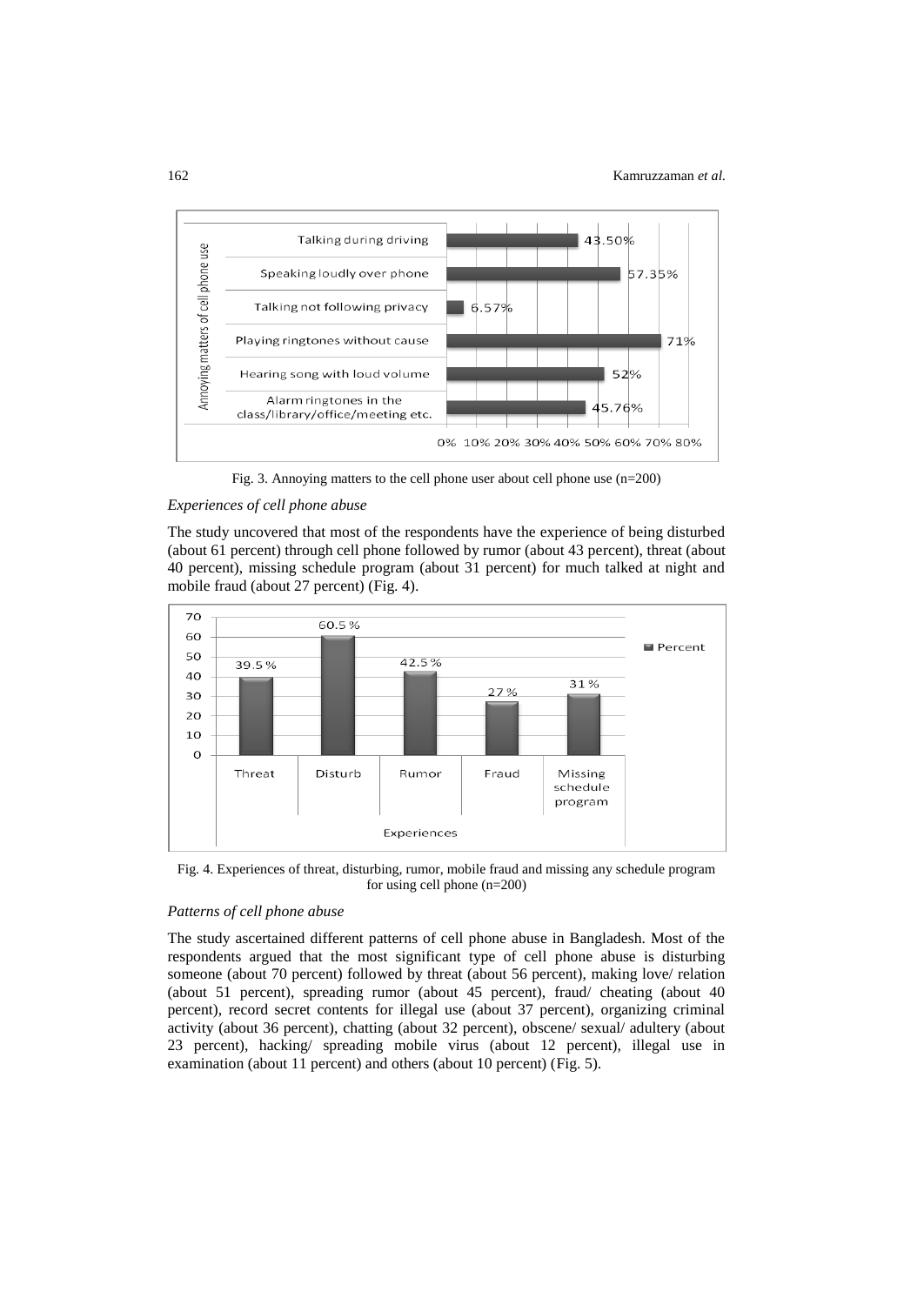

Fig. 3. Annoying matters to the cell phone user about cell phone use (n=200)

## *Experiences of cell phone abuse*

The study uncovered that most of the respondents have the experience of being disturbed (about 61 percent) through cell phone followed by rumor (about 43 percent), threat (about 40 percent), missing schedule program (about 31 percent) for much talked at night and mobile fraud (about 27 percent) (Fig. 4).



Fig. 4. Experiences of threat, disturbing, rumor, mobile fraud and missing any schedule program for using cell phone (n=200)

# *Patterns of cell phone abuse*

The study ascertained different patterns of cell phone abuse in Bangladesh. Most of the respondents argued that the most significant type of cell phone abuse is disturbing someone (about 70 percent) followed by threat (about 56 percent), making love/ relation (about 51 percent), spreading rumor (about 45 percent), fraud/ cheating (about 40 percent), record secret contents for illegal use (about 37 percent), organizing criminal activity (about 36 percent), chatting (about 32 percent), obscene/ sexual/ adultery (about 23 percent), hacking/ spreading mobile virus (about 12 percent), illegal use in examination (about 11 percent) and others (about 10 percent) (Fig. 5).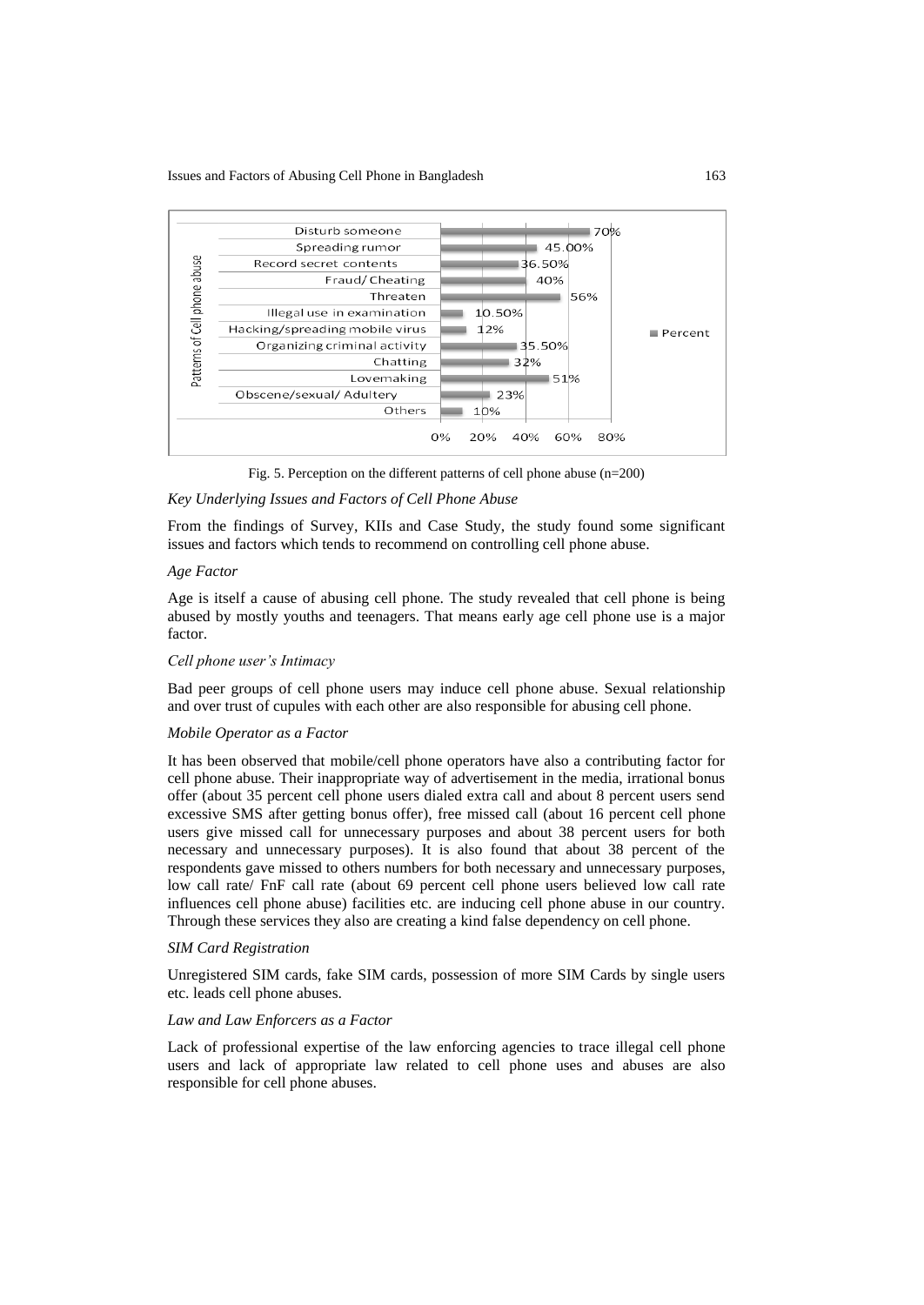

Fig. 5. Perception on the different patterns of cell phone abuse (n=200)

### *Key Underlying Issues and Factors of Cell Phone Abuse*

From the findings of Survey, KIIs and Case Study, the study found some significant issues and factors which tends to recommend on controlling cell phone abuse.

### *Age Factor*

Age is itself a cause of abusing cell phone. The study revealed that cell phone is being abused by mostly youths and teenagers. That means early age cell phone use is a major factor.

### *Cell phone user's Intimacy*

Bad peer groups of cell phone users may induce cell phone abuse. Sexual relationship and over trust of cupules with each other are also responsible for abusing cell phone.

### *Mobile Operator as a Factor*

It has been observed that mobile/cell phone operators have also a contributing factor for cell phone abuse. Their inappropriate way of advertisement in the media, irrational bonus offer (about 35 percent cell phone users dialed extra call and about 8 percent users send excessive SMS after getting bonus offer), free missed call (about 16 percent cell phone users give missed call for unnecessary purposes and about 38 percent users for both necessary and unnecessary purposes). It is also found that about 38 percent of the respondents gave missed to others numbers for both necessary and unnecessary purposes, low call rate/ FnF call rate (about 69 percent cell phone users believed low call rate influences cell phone abuse) facilities etc. are inducing cell phone abuse in our country. Through these services they also are creating a kind false dependency on cell phone.

### *SIM Card Registration*

Unregistered SIM cards, fake SIM cards, possession of more SIM Cards by single users etc. leads cell phone abuses.

### *Law and Law Enforcers as a Factor*

Lack of professional expertise of the law enforcing agencies to trace illegal cell phone users and lack of appropriate law related to cell phone uses and abuses are also responsible for cell phone abuses.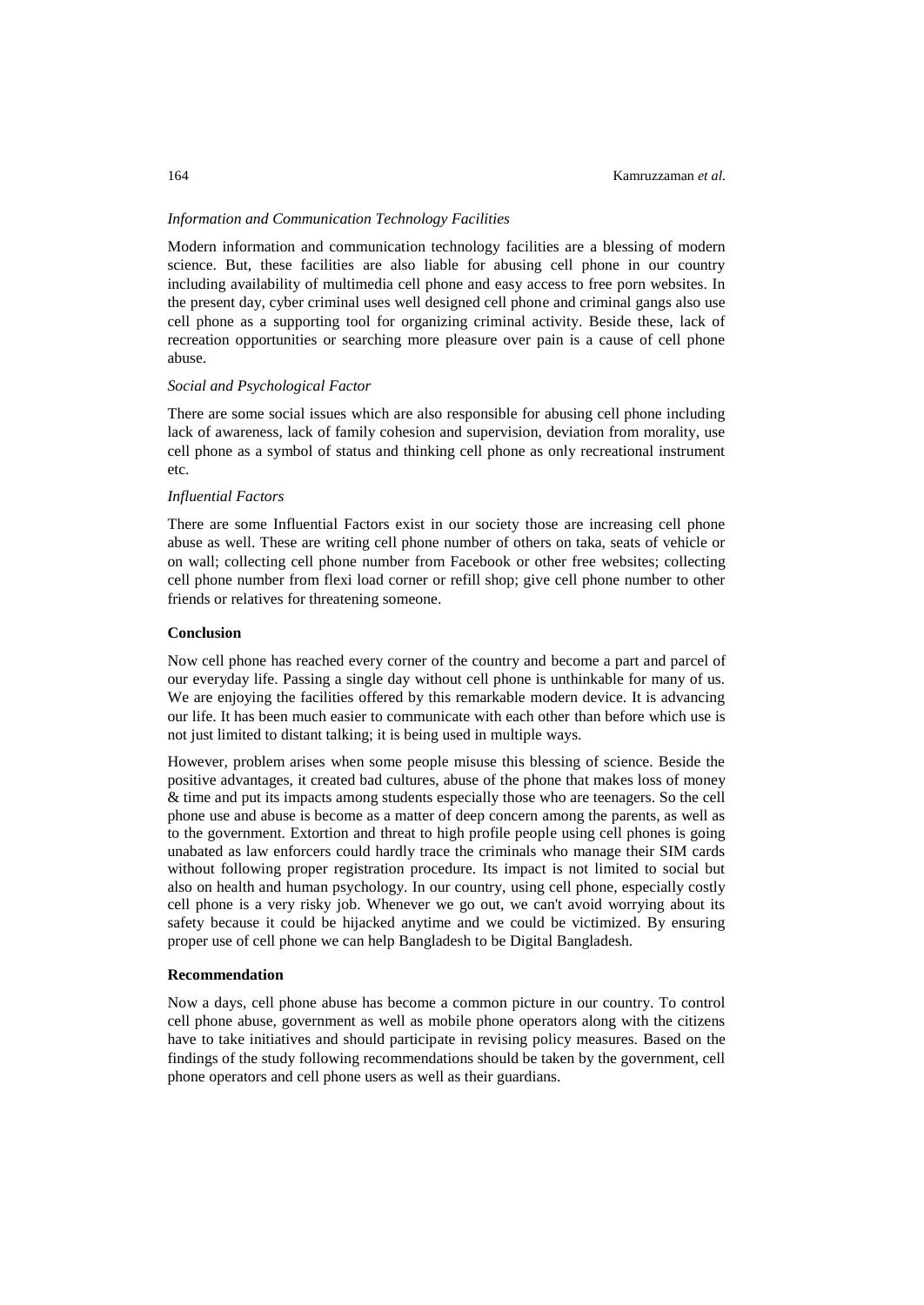### *Information and Communication Technology Facilities*

Modern information and communication technology facilities are a blessing of modern science. But, these facilities are also liable for abusing cell phone in our country including availability of multimedia cell phone and easy access to free porn websites. In the present day, cyber criminal uses well designed cell phone and criminal gangs also use cell phone as a supporting tool for organizing criminal activity. Beside these, lack of recreation opportunities or searching more pleasure over pain is a cause of cell phone abuse.

### *Social and Psychological Factor*

There are some social issues which are also responsible for abusing cell phone including lack of awareness, lack of family cohesion and supervision, deviation from morality, use cell phone as a symbol of status and thinking cell phone as only recreational instrument etc.

### *Influential Factors*

There are some Influential Factors exist in our society those are increasing cell phone abuse as well. These are writing cell phone number of others on taka, seats of vehicle or on wall; collecting cell phone number from Facebook or other free websites; collecting cell phone number from flexi load corner or refill shop; give cell phone number to other friends or relatives for threatening someone.

### **Conclusion**

Now cell phone has reached every corner of the country and become a part and parcel of our everyday life. Passing a single day without cell phone is unthinkable for many of us. We are enjoying the facilities offered by this remarkable modern device. It is advancing our life. It has been much easier to communicate with each other than before which use is not just limited to distant talking; it is being used in multiple ways.

However, problem arises when some people misuse this blessing of science. Beside the positive advantages, it created bad cultures, abuse of the phone that makes loss of money & time and put its impacts among students especially those who are teenagers. So the cell phone use and abuse is become as a matter of deep concern among the parents, as well as to the government. Extortion and threat to high profile people using cell phones is going unabated as law enforcers could hardly trace the criminals who manage their SIM cards without following proper registration procedure. Its impact is not limited to social but also on health and human psychology. In our country, using cell phone, especially costly cell phone is a very risky job. Whenever we go out, we can't avoid worrying about its safety because it could be hijacked anytime and we could be victimized. By ensuring proper use of cell phone we can help Bangladesh to be Digital Bangladesh.

### **Recommendation**

Now a days, cell phone abuse has become a common picture in our country. To control cell phone abuse, government as well as mobile phone operators along with the citizens have to take initiatives and should participate in revising policy measures. Based on the findings of the study following recommendations should be taken by the government, cell phone operators and cell phone users as well as their guardians.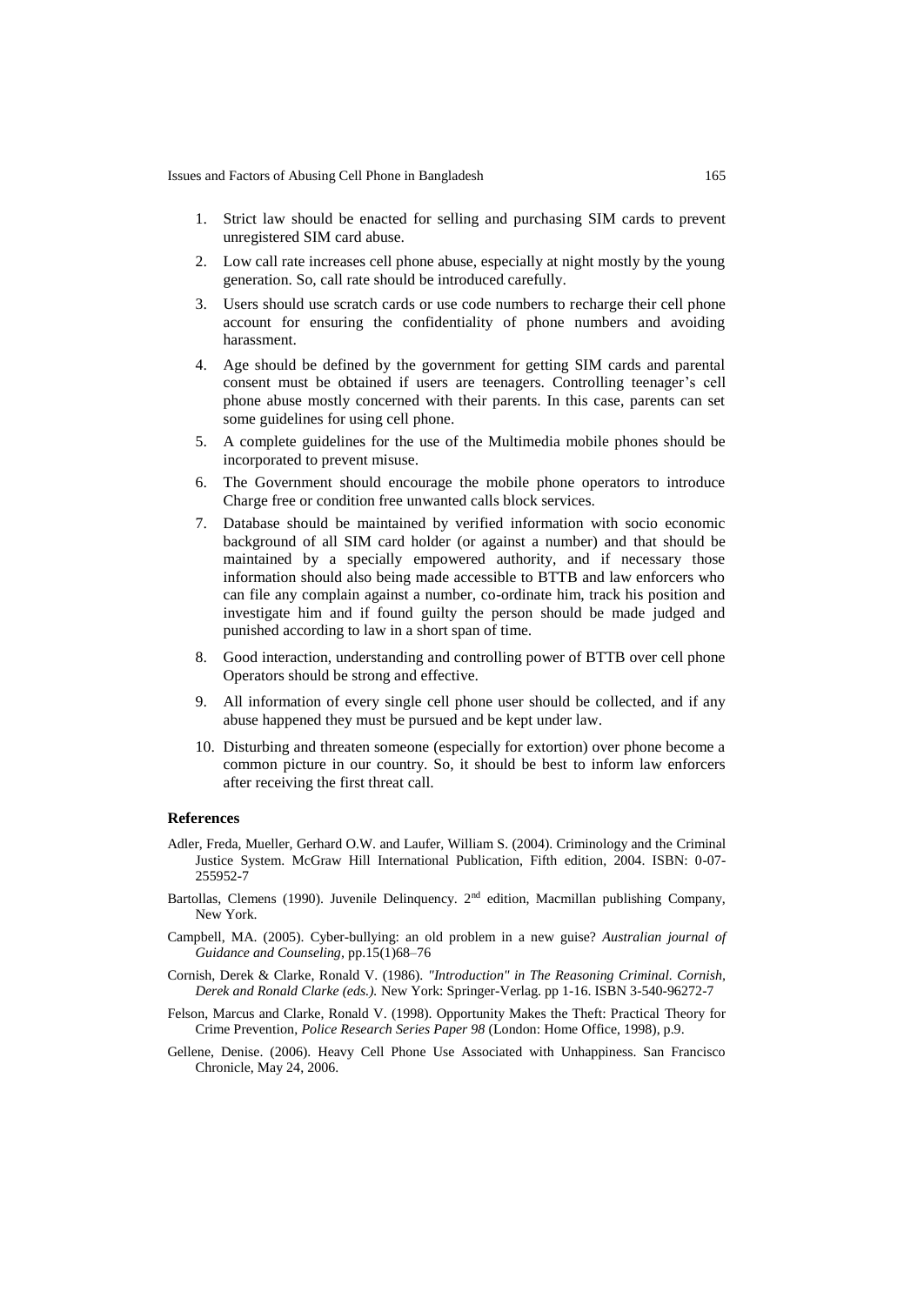- 1. Strict law should be enacted for selling and purchasing SIM cards to prevent unregistered SIM card abuse.
- 2. Low call rate increases cell phone abuse, especially at night mostly by the young generation. So, call rate should be introduced carefully.
- 3. Users should use scratch cards or use code numbers to recharge their cell phone account for ensuring the confidentiality of phone numbers and avoiding harassment.
- 4. Age should be defined by the government for getting SIM cards and parental consent must be obtained if users are teenagers. Controlling teenager's cell phone abuse mostly concerned with their parents. In this case, parents can set some guidelines for using cell phone.
- 5. A complete guidelines for the use of the Multimedia mobile phones should be incorporated to prevent misuse.
- 6. The Government should encourage the mobile phone operators to introduce Charge free or condition free unwanted calls block services.
- 7. Database should be maintained by verified information with socio economic background of all SIM card holder (or against a number) and that should be maintained by a specially empowered authority, and if necessary those information should also being made accessible to BTTB and law enforcers who can file any complain against a number, co-ordinate him, track his position and investigate him and if found guilty the person should be made judged and punished according to law in a short span of time.
- 8. Good interaction, understanding and controlling power of BTTB over cell phone Operators should be strong and effective.
- 9. All information of every single cell phone user should be collected, and if any abuse happened they must be pursued and be kept under law.
- 10. Disturbing and threaten someone (especially for extortion) over phone become a common picture in our country. So, it should be best to inform law enforcers after receiving the first threat call.

## **References**

- Adler, Freda, Mueller, Gerhard O.W. and Laufer, William S. (2004). Criminology and the Criminal Justice System. McGraw Hill International Publication, Fifth edition, 2004. ISBN: 0-07- 255952-7
- Bartollas, Clemens (1990). Juvenile Delinquency. 2<sup>nd</sup> edition, Macmillan publishing Company, New York.
- Campbell, MA. (2005). Cyber-bullying: an old problem in a new guise? *Australian journal of Guidance and Counseling,* pp.15(1)68–76
- Cornish, Derek & Clarke, Ronald V. (1986). *"Introduction" in The Reasoning Criminal. Cornish, Derek and Ronald Clarke (eds.).* New York: Springer-Verlag. pp 1-16. ISBN 3-540-96272-7
- Felson, Marcus and Clarke, Ronald V. (1998). Opportunity Makes the Theft: Practical Theory for Crime Prevention, *Police Research Series Paper 98* (London: Home Office, 1998), p.9.
- Gellene, Denise. (2006). Heavy Cell Phone Use Associated with Unhappiness. San Francisco Chronicle, May 24, 2006.